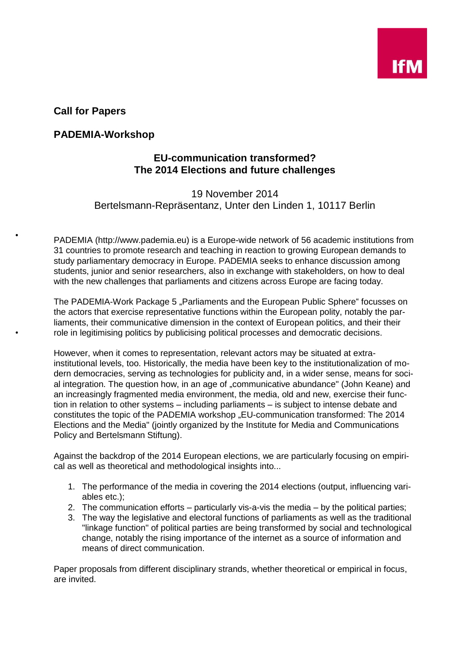

**Call for Papers**

## **PADEMIA-Workshop**

## **EU-communication transformed? The 2014 Elections and future challenges**

## 19 November 2014 Bertelsmann-Repräsentanz, Unter den Linden 1, 10117 Berlin

PADEMIA (http://www.pademia.eu) is a Europe-wide network of 56 academic institutions from 31 countries to promote research and teaching in reaction to growing European demands to study parliamentary democracy in Europe. PADEMIA seeks to enhance discussion among students, junior and senior researchers, also in exchange with stakeholders, on how to deal with the new challenges that parliaments and citizens across Europe are facing today.

The PADEMIA-Work Package 5 "Parliaments and the European Public Sphere" focusses on the actors that exercise representative functions within the European polity, notably the parliaments, their communicative dimension in the context of European politics, and their their role in legitimising politics by publicising political processes and democratic decisions.

However, when it comes to representation, relevant actors may be situated at extrainstitutional levels, too. Historically, the media have been key to the institutionalization of modern democracies, serving as technologies for publicity and, in a wider sense, means for social integration. The question how, in an age of "communicative abundance" (John Keane) and an increasingly fragmented media environment, the media, old and new, exercise their function in relation to other systems – including parliaments – is subject to intense debate and constitutes the topic of the PADEMIA workshop "EU-communication transformed: The 2014 Elections and the Media" (jointly organized by the Institute for Media and Communications Policy and Bertelsmann Stiftung).

Against the backdrop of the 2014 European elections, we are particularly focusing on empirical as well as theoretical and methodological insights into...

- 1. The performance of the media in covering the 2014 elections (output, influencing variables etc.);
- 2. The communication efforts particularly vis-a-vis the media by the political parties;
- 3. The way the legislative and electoral functions of parliaments as well as the traditional "linkage function" of political parties are being transformed by social and technological change, notably the rising importance of the internet as a source of information and means of direct communication.

Paper proposals from different disciplinary strands, whether theoretical or empirical in focus, are invited.